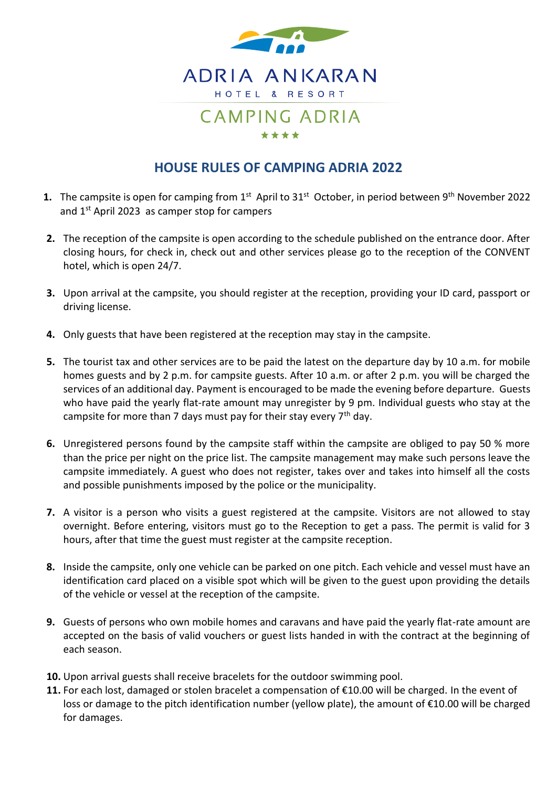

## **HOUSE RULES OF CAMPING ADRIA 2022**

- 1. The campsite is open for camping from 1<sup>st</sup> April to 31<sup>st</sup> October, in period between 9<sup>th</sup> November 2022 and 1st April 2023 as camper stop for campers
- **2.** The reception of the campsite is open according to the schedule published on the entrance door. After closing hours, for check in, check out and other services please go to the reception of the CONVENT hotel, which is open 24/7.
- **3.** Upon arrival at the campsite, you should register at the reception, providing your ID card, passport or driving license.
- **4.** Only guests that have been registered at the reception may stay in the campsite.
- **5.** The tourist tax and other services are to be paid the latest on the departure day by 10 a.m. for mobile homes guests and by 2 p.m. for campsite guests. After 10 a.m. or after 2 p.m. you will be charged the services of an additional day. Payment is encouraged to be made the evening before departure. Guests who have paid the yearly flat-rate amount may unregister by 9 pm. Individual guests who stay at the campsite for more than 7 days must pay for their stay every  $7<sup>th</sup>$  day.
- **6.** Unregistered persons found by the campsite staff within the campsite are obliged to pay 50 % more than the price per night on the price list. The campsite management may make such persons leave the campsite immediately. A guest who does not register, takes over and takes into himself all the costs and possible punishments imposed by the police or the municipality.
- **7.** A visitor is a person who visits a guest registered at the campsite. Visitors are not allowed to stay overnight. Before entering, visitors must go to the Reception to get a pass. The permit is valid for 3 hours, after that time the guest must register at the campsite reception.
- **8.** Inside the campsite, only one vehicle can be parked on one pitch. Each vehicle and vessel must have an identification card placed on a visible spot which will be given to the guest upon providing the details of the vehicle or vessel at the reception of the campsite.
- **9.** Guests of persons who own mobile homes and caravans and have paid the yearly flat-rate amount are accepted on the basis of valid vouchers or guest lists handed in with the contract at the beginning of each season.
- **10.** Upon arrival guests shall receive bracelets for the outdoor swimming pool.
- **11.** For each lost, damaged or stolen bracelet a compensation of €10.00 will be charged. In the event of loss or damage to the pitch identification number (yellow plate), the amount of €10.00 will be charged for damages.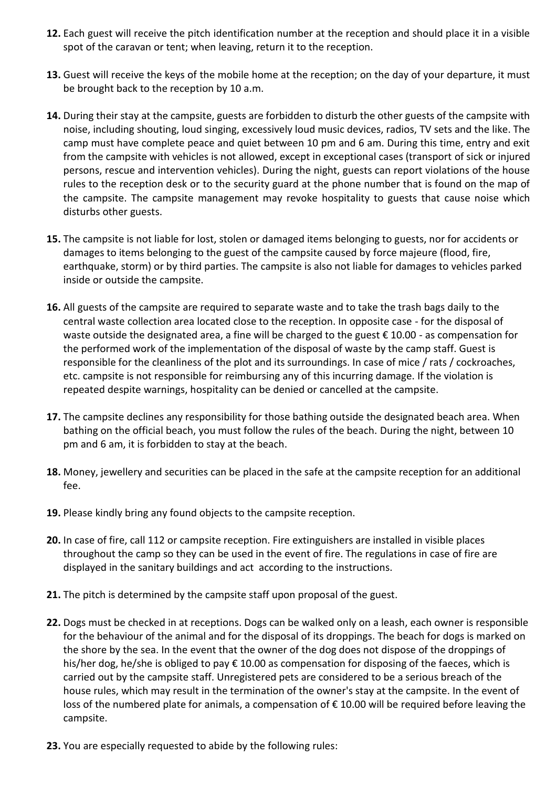- **12.** Each guest will receive the pitch identification number at the reception and should place it in a visible spot of the caravan or tent; when leaving, return it to the reception.
- **13.** Guest will receive the keys of the mobile home at the reception; on the day of your departure, it must be brought back to the reception by 10 a.m.
- **14.** During their stay at the campsite, guests are forbidden to disturb the other guests of the campsite with noise, including shouting, loud singing, excessively loud music devices, radios, TV sets and the like. The camp must have complete peace and quiet between 10 pm and 6 am. During this time, entry and exit from the campsite with vehicles is not allowed, except in exceptional cases (transport of sick or injured persons, rescue and intervention vehicles). During the night, guests can report violations of the house rules to the reception desk or to the security guard at the phone number that is found on the map of the campsite. The campsite management may revoke hospitality to guests that cause noise which disturbs other guests.
- **15.** The campsite is not liable for lost, stolen or damaged items belonging to guests, nor for accidents or damages to items belonging to the guest of the campsite caused by force majeure (flood, fire, earthquake, storm) or by third parties. The campsite is also not liable for damages to vehicles parked inside or outside the campsite.
- **16.** All guests of the campsite are required to separate waste and to take the trash bags daily to the central waste collection area located close to the reception. In opposite case - for the disposal of waste outside the designated area, a fine will be charged to the guest € 10.00 - as compensation for the performed work of the implementation of the disposal of waste by the camp staff. Guest is responsible for the cleanliness of the plot and its surroundings. In case of mice / rats / cockroaches, etc. campsite is not responsible for reimbursing any of this incurring damage. If the violation is repeated despite warnings, hospitality can be denied or cancelled at the campsite.
- **17.** The campsite declines any responsibility for those bathing outside the designated beach area. When bathing on the official beach, you must follow the rules of the beach. During the night, between 10 pm and 6 am, it is forbidden to stay at the beach.
- **18.** Money, jewellery and securities can be placed in the safe at the campsite reception for an additional fee.
- **19.** Please kindly bring any found objects to the campsite reception.
- **20.** In case of fire, call 112 or campsite reception. Fire extinguishers are installed in visible places throughout the camp so they can be used in the event of fire. The regulations in case of fire are displayed in the sanitary buildings and act according to the instructions.
- **21.** The pitch is determined by the campsite staff upon proposal of the guest.
- **22.** Dogs must be checked in at receptions. Dogs can be walked only on a leash, each owner is responsible for the behaviour of the animal and for the disposal of its droppings. The beach for dogs is marked on the shore by the sea. In the event that the owner of the dog does not dispose of the droppings of his/her dog, he/she is obliged to pay € 10.00 as compensation for disposing of the faeces, which is carried out by the campsite staff. Unregistered pets are considered to be a serious breach of the house rules, which may result in the termination of the owner's stay at the campsite. In the event of loss of the numbered plate for animals, a compensation of € 10.00 will be required before leaving the campsite.
- **23.** You are especially requested to abide by the following rules: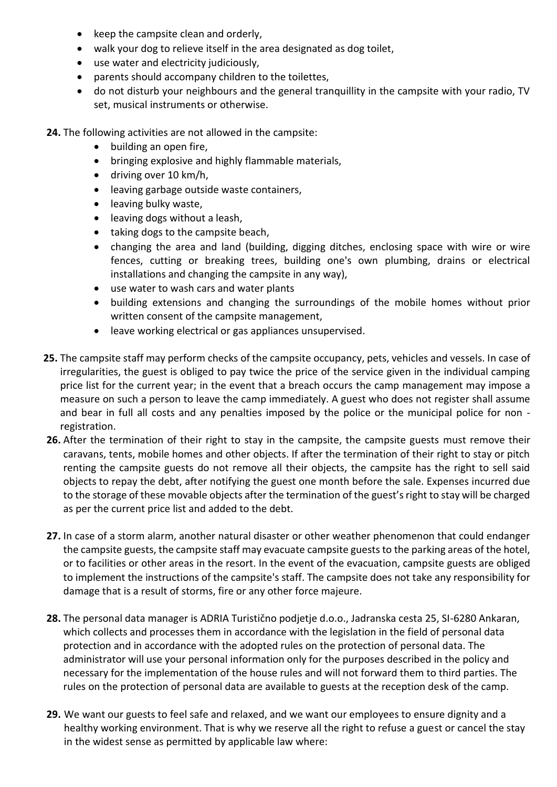- keep the campsite clean and orderly,
- walk your dog to relieve itself in the area designated as dog toilet,
- use water and electricity judiciously,
- parents should accompany children to the toilettes,
- do not disturb your neighbours and the general tranquillity in the campsite with your radio, TV set, musical instruments or otherwise.
- **24.** The following activities are not allowed in the campsite:
	- building an open fire,
	- bringing explosive and highly flammable materials,
	- driving over 10 km/h,
	- leaving garbage outside waste containers,
	- leaving bulky waste,
	- leaving dogs without a leash,
	- taking dogs to the campsite beach,
	- changing the area and land (building, digging ditches, enclosing space with wire or wire fences, cutting or breaking trees, building one's own plumbing, drains or electrical installations and changing the campsite in any way),
	- use water to wash cars and water plants
	- building extensions and changing the surroundings of the mobile homes without prior written consent of the campsite management,
	- leave working electrical or gas appliances unsupervised.
- **25.** The campsite staff may perform checks of the campsite occupancy, pets, vehicles and vessels. In case of irregularities, the guest is obliged to pay twice the price of the service given in the individual camping price list for the current year; in the event that a breach occurs the camp management may impose a measure on such a person to leave the camp immediately. A guest who does not register shall assume and bear in full all costs and any penalties imposed by the police or the municipal police for non registration.
- **26.** After the termination of their right to stay in the campsite, the campsite guests must remove their caravans, tents, mobile homes and other objects. If after the termination of their right to stay or pitch renting the campsite guests do not remove all their objects, the campsite has the right to sell said objects to repay the debt, after notifying the guest one month before the sale. Expenses incurred due to the storage of these movable objects after the termination of the guest's right to stay will be charged as per the current price list and added to the debt.
- **27.** In case of a storm alarm, another natural disaster or other weather phenomenon that could endanger the campsite guests, the campsite staff may evacuate campsite guests to the parking areas of the hotel, or to facilities or other areas in the resort. In the event of the evacuation, campsite guests are obliged to implement the instructions of the campsite's staff. The campsite does not take any responsibility for damage that is a result of storms, fire or any other force majeure.
- **28.** The personal data manager is ADRIA Turistično podjetje d.o.o., Jadranska cesta 25, SI-6280 Ankaran, which collects and processes them in accordance with the legislation in the field of personal data protection and in accordance with the adopted rules on the protection of personal data. The administrator will use your personal information only for the purposes described in the policy and necessary for the implementation of the house rules and will not forward them to third parties. The rules on the protection of personal data are available to guests at the reception desk of the camp.
- **29.** We want our guests to feel safe and relaxed, and we want our employees to ensure dignity and a healthy working environment. That is why we reserve all the right to refuse a guest or cancel the stay in the widest sense as permitted by applicable law where: